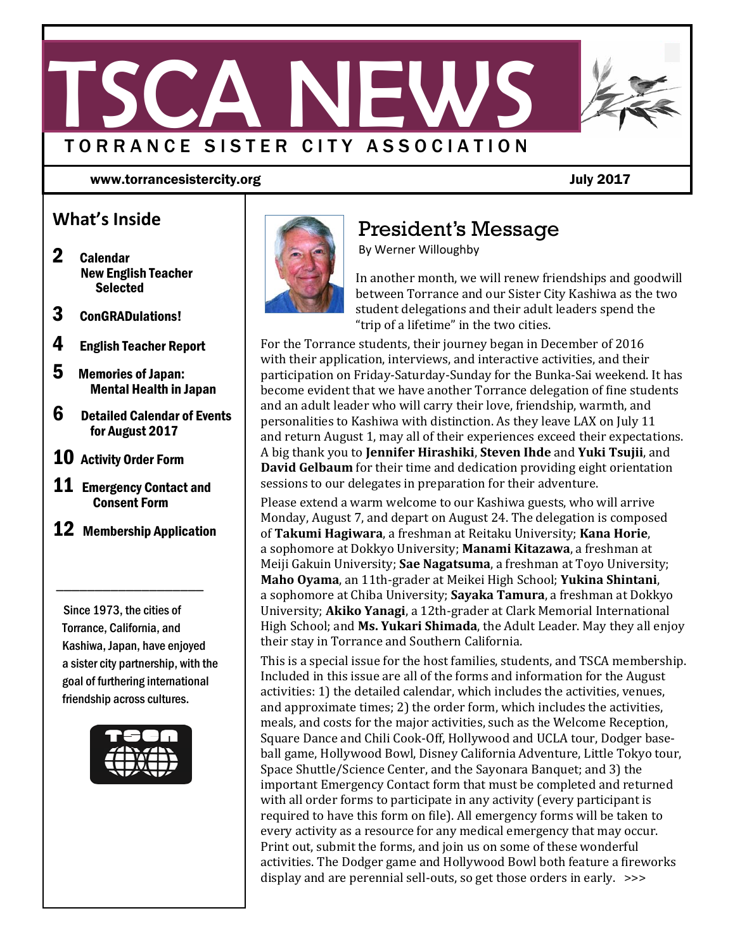

www.torrancesistercity.org July 2017

### **What's Inside**

- 2 Calendar New English Teacher Selected
- 3 ConGRADulations!
- 4 English Teacher Report
- 5 Memories of Japan: Mental Health in Japan
- 6 Detailed Calendar of Events for August 2017
- 10 Activity Order Form
- **11** Emergency Contact and Consent Form
- **12** Membership Application

 $\overline{\phantom{a}}$  , which is a set of the set of the set of the set of the set of the set of the set of the set of the set of the set of the set of the set of the set of the set of the set of the set of the set of the set of th

 Since 1973, the cities of Torrance, California, and Kashiwa, Japan, have enjoyed a sister city partnership, with the goal of furthering international friendship across cultures.





## President's Message

By Werner Willoughby

In another month, we will renew friendships and goodwill between Torrance and our Sister City Kashiwa as the two student delegations and their adult leaders spend the "trip of a lifetime" in the two cities.

For the Torrance students, their journey began in December of 2016 with their application, interviews, and interactive activities, and their participation on Friday‐Saturday‐Sunday for the Bunka‐Sai weekend. It has become evident that we have another Torrance delegation of fine students and an adult leader who will carry their love, friendship, warmth, and personalities to Kashiwa with distinction. As they leave LAX on July 11 and return August 1, may all of their experiences exceed their expectations. A big thank you to **Jennifer Hirashiki**, **Steven Ihde** and **Yuki Tsujii**, and **David Gelbaum** for their time and dedication providing eight orientation sessions to our delegates in preparation for their adventure.

Please extend a warm welcome to our Kashiwa guests, who will arrive Monday, August 7, and depart on August 24. The delegation is composed of **Takumi Hagiwara**, a freshman at Reitaku University; **Kana Horie**, a sophomore at Dokkyo University; **Manami Kitazawa**, a freshman at Meiji Gakuin University; **Sae Nagatsuma**, a freshman at Toyo University; **Maho Oyama**, an 11th-grader at Meikei High School; **Yukina Shintani**, a sophomore at Chiba University; **Sayaka Tamura**, a freshman at Dokkyo University; **Akiko Yanagi**, a 12th-grader at Clark Memorial International High School; and Ms. Yukari Shimada, the Adult Leader. May they all enjoy their stay in Torrance and Southern California.

This is a special issue for the host families, students, and TSCA membership. Included in this issue are all of the forms and information for the August activities: 1) the detailed calendar, which includes the activities, venues, and approximate times; 2) the order form, which includes the activities, meals, and costs for the major activities, such as the Welcome Reception, Square Dance and Chili Cook-Off, Hollywood and UCLA tour, Dodger baseball game, Hollywood Bowl, Disney California Adventure, Little Tokyo tour, Space Shuttle/Science Center, and the Sayonara Banquet; and 3) the important Emergency Contact form that must be completed and returned with all order forms to participate in any activity (every participant is required to have this form on file). All emergency forms will be taken to every activity as a resource for any medical emergency that may occur. Print out, submit the forms, and join us on some of these wonderful activities. The Dodger game and Hollywood Bowl both feature a fireworks display and are perennial sell-outs, so get those orders in early.  $\gg$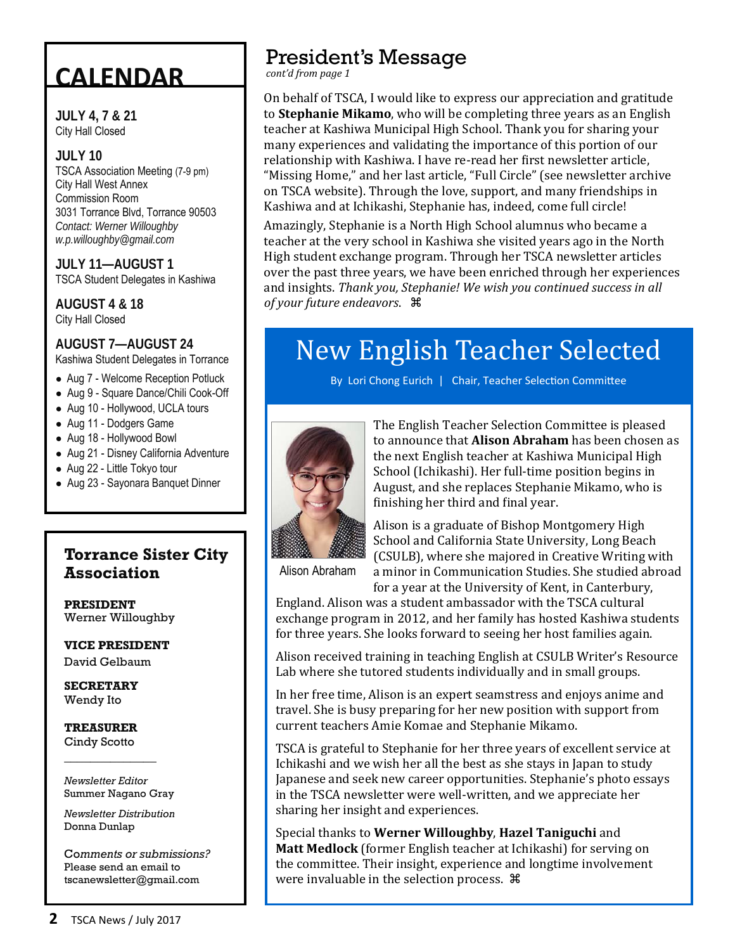# **CALENDAR**

**JULY 4, 7 & 21** City Hall Closed

#### **JULY 10**

TSCA Association Meeting (7-9 pm) City Hall West Annex Commission Room 3031 Torrance Blvd, Torrance 90503 *Contact: Werner Willoughby w.p.willoughby@gmail.com* 

**JULY 11—AUGUST 1**  TSCA Student Delegates in Kashiwa

**AUGUST 4 & 18** City Hall Closed

**AUGUST 7—AUGUST 24**  Kashiwa Student Delegates in Torrance

● Aug 7 - Welcome Reception Potluck

- Aug 9 Square Dance/Chili Cook-Off
- Aug 10 Hollywood, UCLA tours
- Aug 11 Dodgers Game
- Aug 18 Hollywood Bowl
- Aug 21 Disney California Adventure
- Aug 22 Little Tokyo tour
- Aug 23 Sayonara Banquet Dinner

### ٦ **Torrance Sister City Association**

**PRESIDENT** Werner Willoughby

**VICE PRESIDENT** David Gelbaum

**SECRETARY**  Wendy Ito

**TREASURER**  Cindy Scotto

*Newsletter Editor* Summer Nagano Gray

\_\_\_\_\_\_\_\_\_\_\_\_\_\_

*Newsletter Distribution*  Donna Dunlap

Co*mments or submissions?*  Please send an email to tscanewsletter@gmail.com

## President's Message

*cont'd from page 1*

On behalf of TSCA, I would like to express our appreciation and gratitude to **Stephanie Mikamo**, who will be completing three years as an English teacher at Kashiwa Municipal High School. Thank you for sharing your many experiences and validating the importance of this portion of our relationship with Kashiwa. I have re-read her first newsletter article, "Missing Home," and her last article, "Full Circle" (see newsletter archive on TSCA website). Through the love, support, and many friendships in Kashiwa and at Ichikashi, Stephanie has, indeed, come full circle!

Amazingly, Stephanie is a North High School alumnus who became a teacher at the very school in Kashiwa she visited years ago in the North High student exchange program. Through her TSCA newsletter articles over the past three years, we have been enriched through her experiences and insights. *Thank you, Stephanie! We wish you continued success in all of your future endeavors*. 

# New English Teacher Selected

By Lori Chong Eurich | Chair, Teacher Selection Committee



The English Teacher Selection Committee is pleased to announce that **Alison Abraham** has been chosen as the next English teacher at Kashiwa Municipal High School (Ichikashi). Her full-time position begins in August, and she replaces Stephanie Mikamo, who is finishing her third and final year.

Alison is a graduate of Bishop Montgomery High School and California State University, Long Beach (CSULB), where she majored in Creative Writing with a minor in Communication Studies. She studied abroad

Alison Abraham

for a year at the University of Kent, in Canterbury, England. Alison was a student ambassador with the TSCA cultural exchange program in 2012, and her family has hosted Kashiwa students for three years. She looks forward to seeing her host families again.

Alison received training in teaching English at CSULB Writer's Resource Lab where she tutored students individually and in small groups.

In her free time, Alison is an expert seamstress and enjoys anime and travel. She is busy preparing for her new position with support from current teachers Amie Komae and Stephanie Mikamo.

TSCA is grateful to Stephanie for her three years of excellent service at Ichikashi and we wish her all the best as she stays in Japan to study Japanese and seek new career opportunities. Stephanie's photo essays in the TSCA newsletter were well-written, and we appreciate her sharing her insight and experiences.

Special thanks to Werner Willoughby, Hazel Taniguchi and **Matt Medlock** (former English teacher at Ichikashi) for serving on the committee. Their insight, experience and longtime involvement were invaluable in the selection process.  $\mathcal{H}$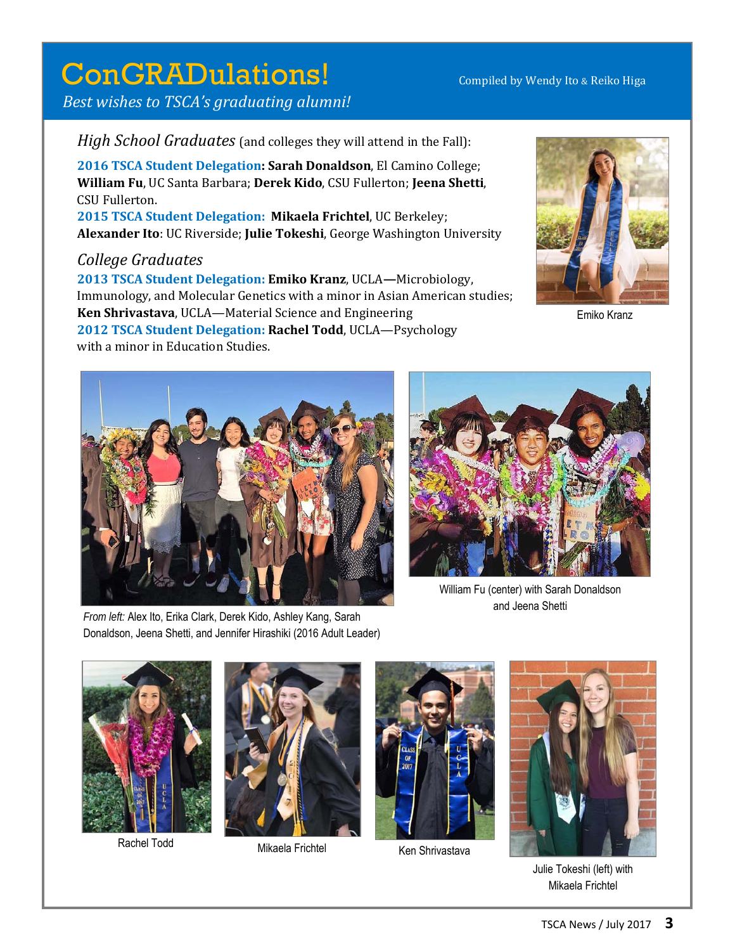# ConGRADulations! Compiled by Wendy Ito & Reiko Higa

 *Best wishes to TSCA's graduating alumni!*

*High School Graduates* (and colleges they will attend in the Fall):

**2016 TSCA Student Delegation: Sarah Donaldson**, El Camino College; **William Fu**, UC Santa Barbara; **Derek Kido**, CSU Fullerton; **Jeena Shetti**, CSU Fullerton.

**2015 TSCA Student Delegation: Mikaela Frichtel**, UC Berkeley; Alexander Ito: UC Riverside; Julie Tokeshi, George Washington University

*College Graduates*

**2013 TSCA Student Delegation: Emiko Kranz**, UCLA**—**Microbiology, Immunology, and Molecular Genetics with a minor in Asian American studies; **Ken Shrivastava**, UCLA—Material Science and Engineering

**2012 TSCA Student Delegation: Rachel Todd**, UCLA—Psychology with a minor in Education Studies.



Emiko Kranz



*From left:* Alex Ito, Erika Clark, Derek Kido, Ashley Kang, Sarah Donaldson, Jeena Shetti, and Jennifer Hirashiki (2016 Adult Leader)



William Fu (center) with Sarah Donaldson and Jeena Shetti





Rachel Todd Mikaela Frichtel Ken Shrivastava





Julie Tokeshi (left) with Mikaela Frichtel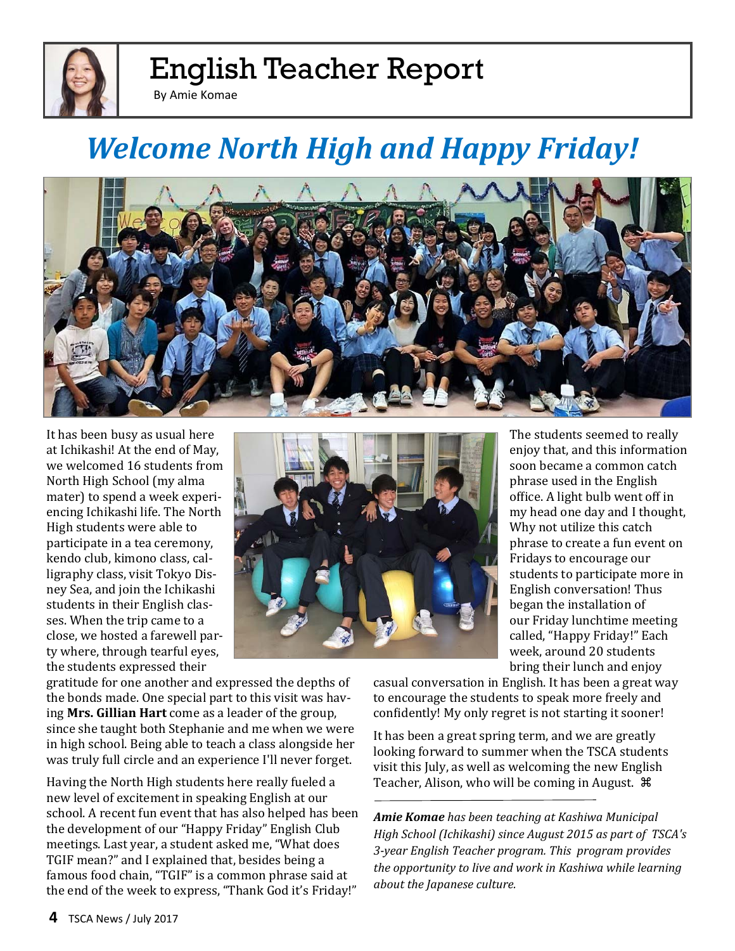

# English Teacher Report

By Amie Komae

# *Welcome North High and Happy Friday!*



It has been busy as usual here at Ichikashi! At the end of May, we welcomed 16 students from North High School (my alma mater) to spend a week experiencing Ichikashi life. The North High students were able to participate in a tea ceremony, kendo club, kimono class, calligraphy class, visit Tokyo Disney Sea, and join the Ichikashi students in their English classes. When the trip came to a close, we hosted a farewell party where, through tearful eyes, the students expressed their



gratitude for one another and expressed the depths of the bonds made. One special part to this visit was having **Mrs. Gillian Hart** come as a leader of the group, since she taught both Stephanie and me when we were in high school. Being able to teach a class alongside her was truly full circle and an experience I'll never forget.

Having the North High students here really fueled a new level of excitement in speaking English at our school. A recent fun event that has also helped has been the development of our "Happy Friday" English Club meetings. Last year, a student asked me, "What does TGIF mean?" and I explained that, besides being a famous food chain, "TGIF" is a common phrase said at the end of the week to express, "Thank God it's Friday!"

The students seemed to really enjoy that, and this information soon became a common catch phrase used in the English office. A light bulb went off in my head one day and I thought, Why not utilize this catch phrase to create a fun event on Fridays to encourage our students to participate more in English conversation! Thus began the installation of our Friday lunchtime meeting called, "Happy Friday!" Each week, around 20 students bring their lunch and enjoy

casual conversation in English. It has been a great way to encourage the students to speak more freely and confidently! My only regret is not starting it sooner!

It has been a great spring term, and we are greatly looking forward to summer when the TSCA students visit this July, as well as welcoming the new English Teacher, Alison, who will be coming in August.  $\mathcal{H}$ 

*Amie Komae has been teaching at Kashiwa Municipal High School (Ichikashi) since August 2015 as part of TSCA's 3‐year English Teacher program. This program provides the opportunity to live and work in Kashiwa while learning about the Japanese culture.*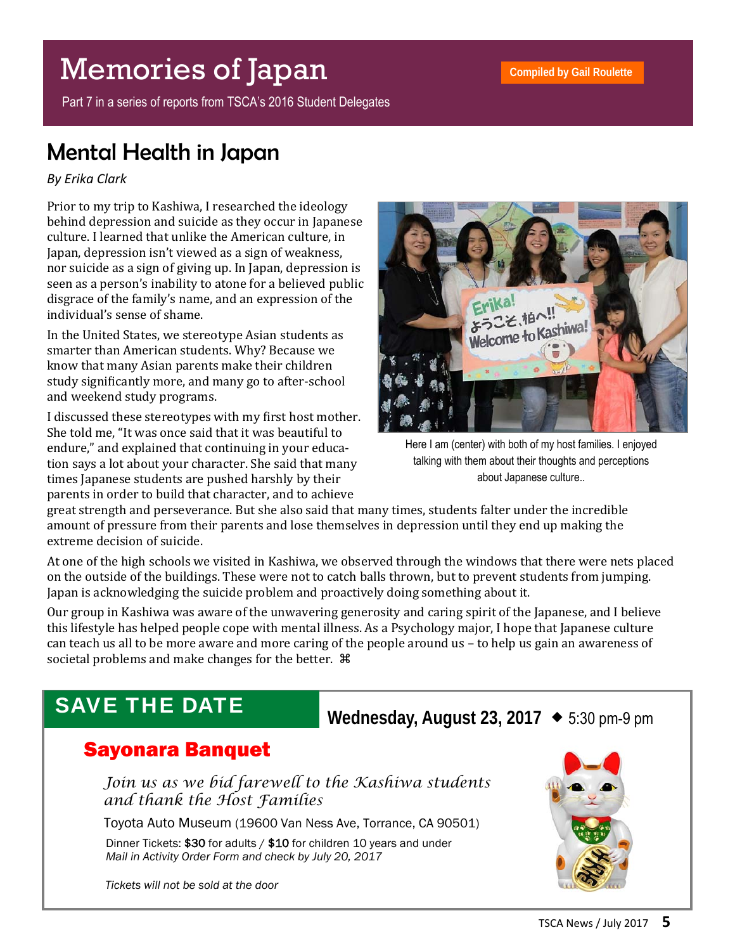# Memories of Japan

Part 7 in a series of reports from TSCA's 2016 Student Delegates

## Mental Health in Japan

### *By Erika Clark*

Prior to my trip to Kashiwa, I researched the ideology behind depression and suicide as they occur in Japanese culture. I learned that unlike the American culture, in Japan, depression isn't viewed as a sign of weakness, nor suicide as a sign of giving up. In Japan, depression is seen as a person's inability to atone for a believed public disgrace of the family's name, and an expression of the individual's sense of shame.

In the United States, we stereotype Asian students as smarter than American students. Why? Because we know that many Asian parents make their children study significantly more, and many go to after-school and weekend study programs.

I discussed these stereotypes with my first host mother. She told me, "It was once said that it was beautiful to endure," and explained that continuing in your education says a lot about your character. She said that many times Japanese students are pushed harshly by their parents in order to build that character, and to achieve



Here I am (center) with both of my host families. I enjoyed talking with them about their thoughts and perceptions about Japanese culture..

great strength and perseverance. But she also said that many times, students falter under the incredible amount of pressure from their parents and lose themselves in depression until they end up making the extreme decision of suicide.

At one of the high schools we visited in Kashiwa, we observed through the windows that there were nets placed on the outside of the buildings. These were not to catch balls thrown, but to prevent students from jumping. Japan is acknowledging the suicide problem and proactively doing something about it.

Our group in Kashiwa was aware of the unwavering generosity and caring spirit of the Japanese, and I believe this lifestyle has helped people cope with mental illness. As a Psychology major, I hope that Japanese culture can teach us all to be more aware and more caring of the people around us – to help us gain an awareness of societal problems and make changes for the better.  $\mathcal{H}$ 

## SAVE THE DATE

### **Wednesday, August 23, 2017**  5:30 pm-9 pm

### Sayonara Banquet

 *Join us as we bid farewell to the Kashiwa students and thank the Host Families* 

Toyota Auto Museum (19600 Van Ness Ave, Torrance, CA 90501)

Dinner Tickets: \$30 for adults / \$10 for children 10 years and under  *Mail in Activity Order Form and check by July 20, 2017* 



 *Tickets will not be sold at the door*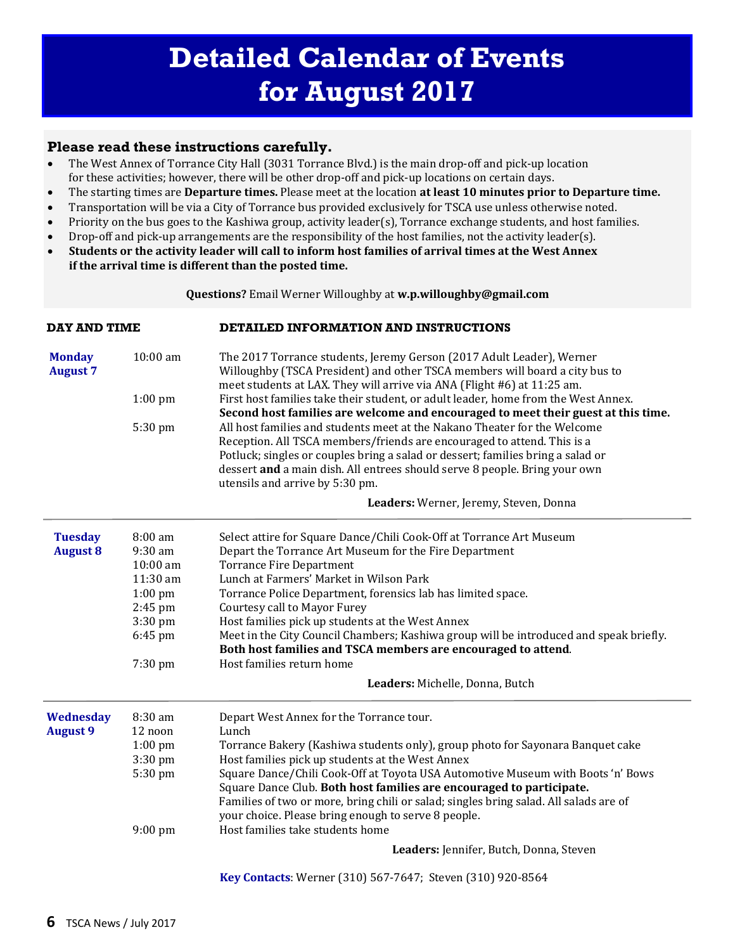#### **Please read these instructions carefully.**

- The West Annex of Torrance City Hall (3031 Torrance Blvd.) is the main drop-off and pick-up location for these activities; however, there will be other drop-off and pick-up locations on certain days.
- The starting times are **Departure times.** Please meet at the location **at least 10 minutes prior to Departure time.**
- Transportation will be via a City of Torrance bus provided exclusively for TSCA use unless otherwise noted.
- Priority on the bus goes to the Kashiwa group, activity leader(s), Torrance exchange students, and host families.
- Drop-off and pick-up arrangements are the responsibility of the host families, not the activity leader(s).
- Students or the activity leader will call to inform host families of arrival times at the West Annex **if the arrival time is different than the posted time.**

**Questions?** Email Werner Willoughby at **w.p.willoughby@gmail.com** 

| <b>DAY AND TIME</b>              |                                                                                                                                                                                                                                             | DETAILED INFORMATION AND INSTRUCTIONS                                                                                                                                                                                                                                       |  |  |  |  |
|----------------------------------|---------------------------------------------------------------------------------------------------------------------------------------------------------------------------------------------------------------------------------------------|-----------------------------------------------------------------------------------------------------------------------------------------------------------------------------------------------------------------------------------------------------------------------------|--|--|--|--|
| <b>Monday</b><br><b>August 7</b> | 10:00 am<br>The 2017 Torrance students, Jeremy Gerson (2017 Adult Leader), Werner<br>Willoughby (TSCA President) and other TSCA members will board a city bus to<br>meet students at LAX. They will arrive via ANA (Flight #6) at 11:25 am. |                                                                                                                                                                                                                                                                             |  |  |  |  |
|                                  | $1:00$ pm                                                                                                                                                                                                                                   | First host families take their student, or adult leader, home from the West Annex.                                                                                                                                                                                          |  |  |  |  |
|                                  |                                                                                                                                                                                                                                             | Second host families are welcome and encouraged to meet their guest at this time.<br>All host families and students meet at the Nakano Theater for the Welcome                                                                                                              |  |  |  |  |
|                                  | 5:30 pm                                                                                                                                                                                                                                     | Reception. All TSCA members/friends are encouraged to attend. This is a<br>Potluck; singles or couples bring a salad or dessert; families bring a salad or<br>dessert and a main dish. All entrees should serve 8 people. Bring your own<br>utensils and arrive by 5:30 pm. |  |  |  |  |
|                                  |                                                                                                                                                                                                                                             | Leaders: Werner, Jeremy, Steven, Donna                                                                                                                                                                                                                                      |  |  |  |  |
| <b>Tuesday</b>                   | 8:00 am                                                                                                                                                                                                                                     | Select attire for Square Dance/Chili Cook-Off at Torrance Art Museum                                                                                                                                                                                                        |  |  |  |  |
| <b>August 8</b>                  | 9:30 am                                                                                                                                                                                                                                     | Depart the Torrance Art Museum for the Fire Department                                                                                                                                                                                                                      |  |  |  |  |
|                                  | 10:00 am                                                                                                                                                                                                                                    | <b>Torrance Fire Department</b>                                                                                                                                                                                                                                             |  |  |  |  |
|                                  | 11:30 am                                                                                                                                                                                                                                    | Lunch at Farmers' Market in Wilson Park                                                                                                                                                                                                                                     |  |  |  |  |
|                                  | $1:00$ pm                                                                                                                                                                                                                                   | Torrance Police Department, forensics lab has limited space.                                                                                                                                                                                                                |  |  |  |  |
|                                  | $2:45$ pm                                                                                                                                                                                                                                   | <b>Courtesy call to Mayor Furey</b>                                                                                                                                                                                                                                         |  |  |  |  |
|                                  | 3:30 pm                                                                                                                                                                                                                                     | Host families pick up students at the West Annex                                                                                                                                                                                                                            |  |  |  |  |
|                                  | 6:45 pm                                                                                                                                                                                                                                     | Meet in the City Council Chambers; Kashiwa group will be introduced and speak briefly.                                                                                                                                                                                      |  |  |  |  |
|                                  |                                                                                                                                                                                                                                             | Both host families and TSCA members are encouraged to attend.                                                                                                                                                                                                               |  |  |  |  |
|                                  | 7:30 pm                                                                                                                                                                                                                                     | Host families return home                                                                                                                                                                                                                                                   |  |  |  |  |
|                                  |                                                                                                                                                                                                                                             | Leaders: Michelle, Donna, Butch                                                                                                                                                                                                                                             |  |  |  |  |
| Wednesday                        | 8:30 am                                                                                                                                                                                                                                     | Depart West Annex for the Torrance tour.                                                                                                                                                                                                                                    |  |  |  |  |
| <b>August 9</b>                  | 12 noon                                                                                                                                                                                                                                     | Lunch                                                                                                                                                                                                                                                                       |  |  |  |  |
|                                  | $1:00$ pm                                                                                                                                                                                                                                   | Torrance Bakery (Kashiwa students only), group photo for Sayonara Banquet cake                                                                                                                                                                                              |  |  |  |  |
|                                  | 3:30 pm                                                                                                                                                                                                                                     | Host families pick up students at the West Annex                                                                                                                                                                                                                            |  |  |  |  |
|                                  | 5:30 pm                                                                                                                                                                                                                                     | Square Dance/Chili Cook-Off at Toyota USA Automotive Museum with Boots 'n' Bows                                                                                                                                                                                             |  |  |  |  |
|                                  |                                                                                                                                                                                                                                             | Square Dance Club. Both host families are encouraged to participate.                                                                                                                                                                                                        |  |  |  |  |
|                                  |                                                                                                                                                                                                                                             | Families of two or more, bring chili or salad; singles bring salad. All salads are of                                                                                                                                                                                       |  |  |  |  |
|                                  |                                                                                                                                                                                                                                             | your choice. Please bring enough to serve 8 people.<br>Host families take students home                                                                                                                                                                                     |  |  |  |  |
|                                  | 9:00 pm                                                                                                                                                                                                                                     |                                                                                                                                                                                                                                                                             |  |  |  |  |
|                                  |                                                                                                                                                                                                                                             | Leaders: Jennifer, Butch, Donna, Steven                                                                                                                                                                                                                                     |  |  |  |  |
|                                  |                                                                                                                                                                                                                                             | Key Contacts: Werner (310) 567-7647; Steven (310) 920-8564                                                                                                                                                                                                                  |  |  |  |  |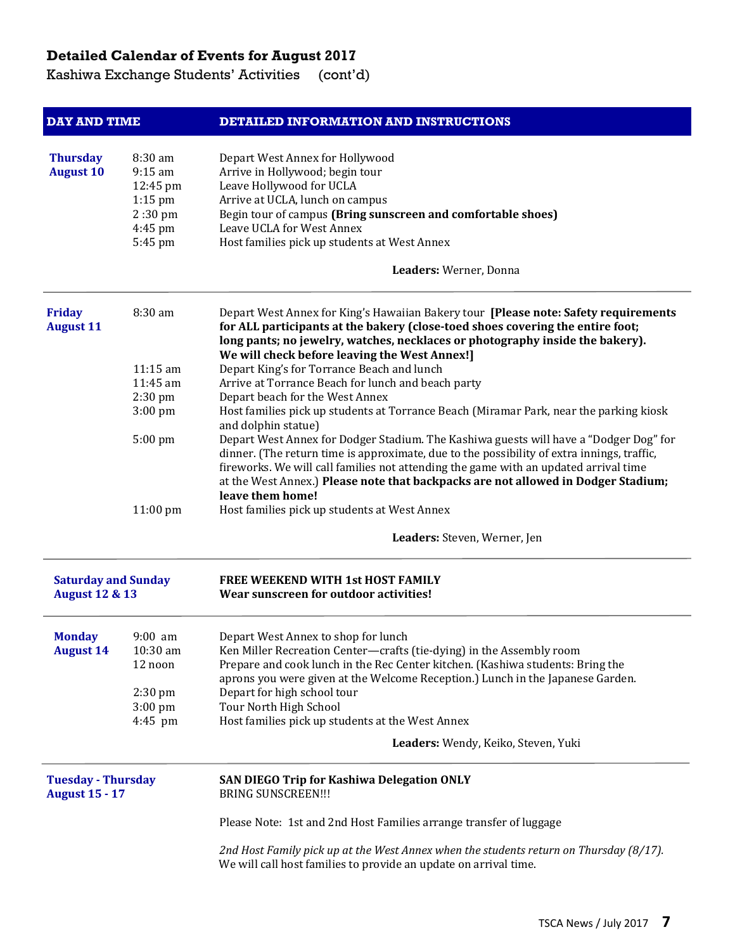Kashiwa Exchange Students' Activities (cont'd)

| <b>DAY AND TIME</b>                                     |                                | DETAILED INFORMATION AND INSTRUCTIONS                                                                         |  |  |  |  |
|---------------------------------------------------------|--------------------------------|---------------------------------------------------------------------------------------------------------------|--|--|--|--|
|                                                         |                                |                                                                                                               |  |  |  |  |
| <b>Thursday</b>                                         | 8:30 am                        | Depart West Annex for Hollywood                                                                               |  |  |  |  |
| <b>August 10</b>                                        | $9:15$ am                      | Arrive in Hollywood; begin tour                                                                               |  |  |  |  |
|                                                         | 12:45 pm                       | Leave Hollywood for UCLA<br>Arrive at UCLA, lunch on campus                                                   |  |  |  |  |
|                                                         | $1:15$ pm<br>$2:30 \text{ pm}$ | Begin tour of campus (Bring sunscreen and comfortable shoes)                                                  |  |  |  |  |
|                                                         | 4:45 pm                        | Leave UCLA for West Annex                                                                                     |  |  |  |  |
|                                                         | 5:45 pm                        | Host families pick up students at West Annex                                                                  |  |  |  |  |
|                                                         |                                | Leaders: Werner, Donna                                                                                        |  |  |  |  |
|                                                         |                                |                                                                                                               |  |  |  |  |
| <b>Friday</b>                                           | 8:30 am                        | Depart West Annex for King's Hawaiian Bakery tour [Please note: Safety requirements                           |  |  |  |  |
| <b>August 11</b>                                        |                                | for ALL participants at the bakery (close-toed shoes covering the entire foot;                                |  |  |  |  |
|                                                         |                                | long pants; no jewelry, watches, necklaces or photography inside the bakery).                                 |  |  |  |  |
|                                                         |                                | We will check before leaving the West Annex!]                                                                 |  |  |  |  |
|                                                         | 11:15 am                       | Depart King's for Torrance Beach and lunch                                                                    |  |  |  |  |
|                                                         | 11:45 am                       | Arrive at Torrance Beach for lunch and beach party                                                            |  |  |  |  |
|                                                         | $2:30$ pm                      | Depart beach for the West Annex                                                                               |  |  |  |  |
|                                                         | $3:00 \text{ pm}$              | Host families pick up students at Torrance Beach (Miramar Park, near the parking kiosk<br>and dolphin statue) |  |  |  |  |
|                                                         | 5:00 pm                        | Depart West Annex for Dodger Stadium. The Kashiwa guests will have a "Dodger Dog" for                         |  |  |  |  |
|                                                         |                                | dinner. (The return time is approximate, due to the possibility of extra innings, traffic,                    |  |  |  |  |
|                                                         |                                | fireworks. We will call families not attending the game with an updated arrival time                          |  |  |  |  |
|                                                         |                                | at the West Annex.) Please note that backpacks are not allowed in Dodger Stadium;                             |  |  |  |  |
|                                                         |                                | leave them home!                                                                                              |  |  |  |  |
|                                                         | 11:00 pm                       | Host families pick up students at West Annex                                                                  |  |  |  |  |
|                                                         |                                | Leaders: Steven, Werner, Jen                                                                                  |  |  |  |  |
|                                                         |                                | FREE WEEKEND WITH 1st HOST FAMILY                                                                             |  |  |  |  |
| <b>Saturday and Sunday</b><br><b>August 12 &amp; 13</b> |                                | Wear sunscreen for outdoor activities!                                                                        |  |  |  |  |
|                                                         |                                |                                                                                                               |  |  |  |  |
| <b>Monday</b>                                           | $9:00$ am                      | Depart West Annex to shop for lunch                                                                           |  |  |  |  |
| <b>August 14</b>                                        | 10:30 am                       | Ken Miller Recreation Center—crafts (tie-dying) in the Assembly room                                          |  |  |  |  |
|                                                         | 12 noon                        | Prepare and cook lunch in the Rec Center kitchen. (Kashiwa students: Bring the                                |  |  |  |  |
|                                                         |                                | aprons you were given at the Welcome Reception.) Lunch in the Japanese Garden.                                |  |  |  |  |
|                                                         | $2:30 \text{ pm}$              | Depart for high school tour                                                                                   |  |  |  |  |
|                                                         | $3:00$ pm                      | Tour North High School                                                                                        |  |  |  |  |
|                                                         | 4:45 pm                        | Host families pick up students at the West Annex                                                              |  |  |  |  |
|                                                         |                                | Leaders: Wendy, Keiko, Steven, Yuki                                                                           |  |  |  |  |
| <b>Tuesday - Thursday</b>                               |                                | <b>SAN DIEGO Trip for Kashiwa Delegation ONLY</b>                                                             |  |  |  |  |
| <b>August 15 - 17</b>                                   |                                | <b>BRING SUNSCREEN!!!</b>                                                                                     |  |  |  |  |
|                                                         |                                | Please Note: 1st and 2nd Host Families arrange transfer of luggage                                            |  |  |  |  |
|                                                         |                                | 2nd Host Family pick up at the West Annex when the students return on Thursday (8/17).                        |  |  |  |  |
|                                                         |                                | We will call host families to provide an update on arrival time.                                              |  |  |  |  |
|                                                         |                                |                                                                                                               |  |  |  |  |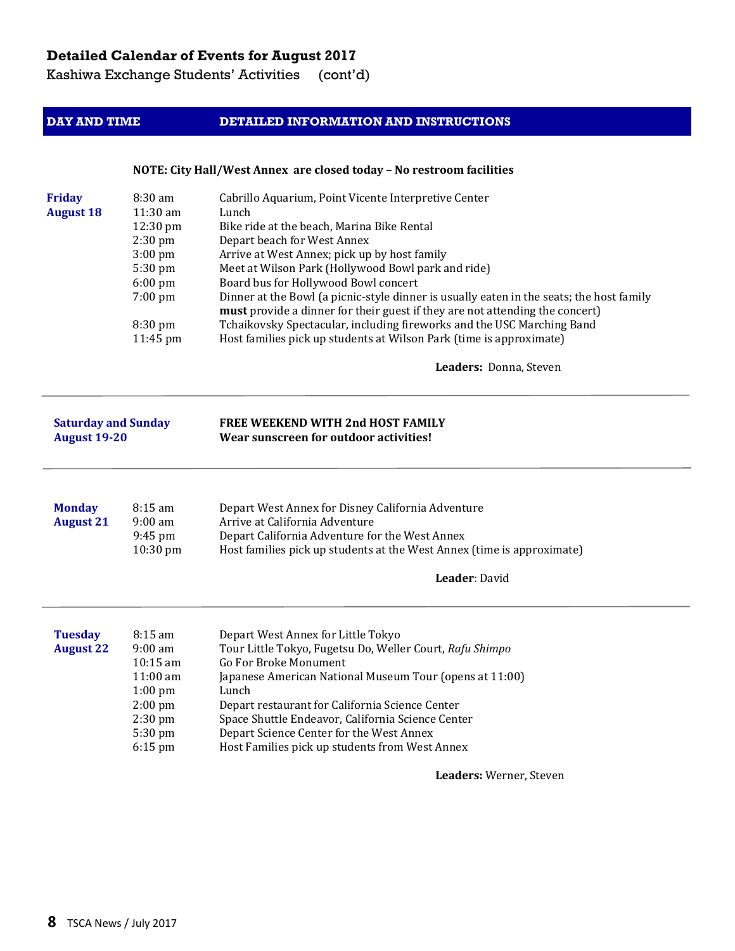Kashiwa Exchange Students' Activities (cont'd)

#### **DAY AND TIME DETAILED INFORMATION AND INSTRUCTIONS**

#### **NOTE: City Hall/West Annex are closed today – No restroom facilities**

| <b>Friday</b><br><b>August 18</b>                 | 8:30 am<br>11:30 am<br>12:30 pm<br>2:30 pm<br>$3:00$ pm<br>5:30 pm<br>6:00 pm<br>7:00 pm<br>8:30 pm<br>11:45 pm | Cabrillo Aquarium, Point Vicente Interpretive Center<br>Lunch<br>Bike ride at the beach, Marina Bike Rental<br>Depart beach for West Annex<br>Arrive at West Annex; pick up by host family<br>Meet at Wilson Park (Hollywood Bowl park and ride)<br>Board bus for Hollywood Bowl concert<br>Dinner at the Bowl (a picnic-style dinner is usually eaten in the seats; the host family<br>must provide a dinner for their guest if they are not attending the concert)<br>Tchaikovsky Spectacular, including fireworks and the USC Marching Band<br>Host families pick up students at Wilson Park (time is approximate)<br>Leaders: Donna, Steven |
|---------------------------------------------------|-----------------------------------------------------------------------------------------------------------------|-------------------------------------------------------------------------------------------------------------------------------------------------------------------------------------------------------------------------------------------------------------------------------------------------------------------------------------------------------------------------------------------------------------------------------------------------------------------------------------------------------------------------------------------------------------------------------------------------------------------------------------------------|
| <b>Saturday and Sunday</b><br><b>August 19-20</b> |                                                                                                                 | FREE WEEKEND WITH 2nd HOST FAMILY<br>Wear sunscreen for outdoor activities!                                                                                                                                                                                                                                                                                                                                                                                                                                                                                                                                                                     |
| <b>Monday</b><br><b>August 21</b>                 | 8:15 am<br>$9:00$ am<br>$9:45$ pm<br>10:30 pm                                                                   | Depart West Annex for Disney California Adventure<br>Arrive at California Adventure<br>Depart California Adventure for the West Annex<br>Host families pick up students at the West Annex (time is approximate)<br>Leader: David                                                                                                                                                                                                                                                                                                                                                                                                                |
| <b>Tuesday</b><br><b>August 22</b>                | 8:15 am<br>$9:00$ am<br>$10:15$ am<br>11:00 am<br>$1:00$ pm<br>$2:00$ pm<br>2:30 pm<br>5:30 pm<br>6:15 pm       | Depart West Annex for Little Tokyo<br>Tour Little Tokyo, Fugetsu Do, Weller Court, Rafu Shimpo<br>Go For Broke Monument<br>Japanese American National Museum Tour (opens at 11:00)<br>Lunch<br>Depart restaurant for California Science Center<br>Space Shuttle Endeavor, California Science Center<br>Depart Science Center for the West Annex<br>Host Families pick up students from West Annex                                                                                                                                                                                                                                               |

Leaders: Werner, Steven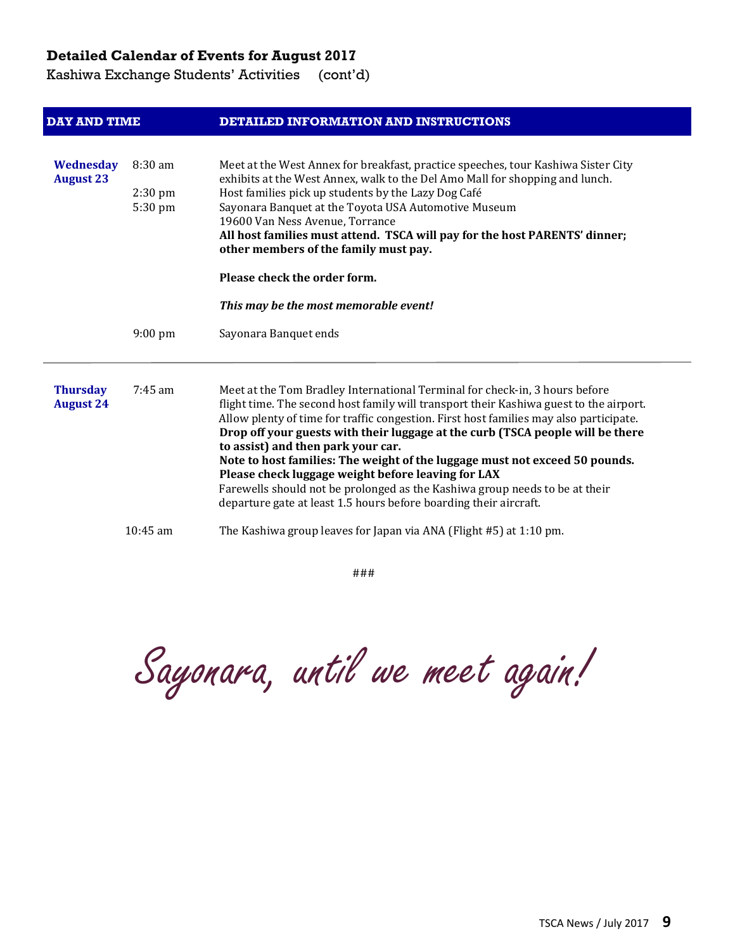Kashiwa Exchange Students' Activities (cont'd)

| <b>DAY AND TIME</b> |                   | DETAILED INFORMATION AND INSTRUCTIONS                                                                                             |  |  |  |
|---------------------|-------------------|-----------------------------------------------------------------------------------------------------------------------------------|--|--|--|
| <b>Wednesday</b>    | 8:30 am           | Meet at the West Annex for breakfast, practice speeches, tour Kashiwa Sister City                                                 |  |  |  |
| <b>August 23</b>    |                   | exhibits at the West Annex, walk to the Del Amo Mall for shopping and lunch.                                                      |  |  |  |
|                     | $2:30$ pm         | Host families pick up students by the Lazy Dog Café                                                                               |  |  |  |
|                     | 5:30 pm           | Sayonara Banquet at the Toyota USA Automotive Museum                                                                              |  |  |  |
|                     |                   | 19600 Van Ness Avenue, Torrance                                                                                                   |  |  |  |
|                     |                   | All host families must attend. TSCA will pay for the host PARENTS' dinner;<br>other members of the family must pay.               |  |  |  |
|                     |                   | Please check the order form.                                                                                                      |  |  |  |
|                     |                   | This may be the most memorable event!                                                                                             |  |  |  |
|                     | $9:00 \text{ pm}$ | Sayonara Banquet ends                                                                                                             |  |  |  |
| <b>Thursday</b>     | $7:45$ am         | Meet at the Tom Bradley International Terminal for check-in, 3 hours before                                                       |  |  |  |
| <b>August 24</b>    |                   | flight time. The second host family will transport their Kashiwa guest to the airport.                                            |  |  |  |
|                     |                   | Allow plenty of time for traffic congestion. First host families may also participate.                                            |  |  |  |
|                     |                   | Drop off your guests with their luggage at the curb (TSCA people will be there                                                    |  |  |  |
|                     |                   | to assist) and then park your car.                                                                                                |  |  |  |
|                     |                   | Note to host families: The weight of the luggage must not exceed 50 pounds.<br>Please check luggage weight before leaving for LAX |  |  |  |
|                     |                   | Farewells should not be prolonged as the Kashiwa group needs to be at their                                                       |  |  |  |
|                     |                   | departure gate at least 1.5 hours before boarding their aircraft.                                                                 |  |  |  |
|                     | $10:45$ am        | The Kashiwa group leaves for Japan via ANA (Flight #5) at 1:10 pm.                                                                |  |  |  |

### 

Sayonara, until we meet again!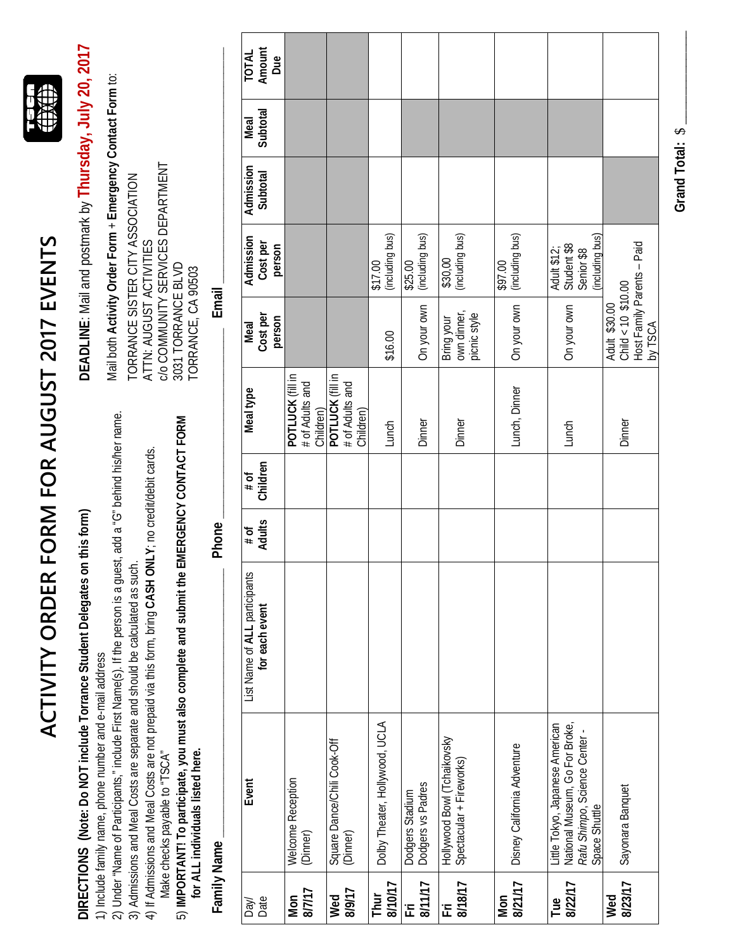|                 | DIRECTIONS (Note: Do NOT include Torrance Student Delegates on                                                                                                                                                         |                                                 | this form)     |                  |                                                  |                                                                                | DEADLINE: Mail and postmark by Thursday, July 20, 2017                                         |                       |                  |                        |
|-----------------|------------------------------------------------------------------------------------------------------------------------------------------------------------------------------------------------------------------------|-------------------------------------------------|----------------|------------------|--------------------------------------------------|--------------------------------------------------------------------------------|------------------------------------------------------------------------------------------------|-----------------------|------------------|------------------------|
|                 | 2) Under "Name of Participants," include First Name(s). If the person is a guest, add a "G" behind his/her name<br>1) Include family name, phone number and e-mail address                                             |                                                 |                |                  |                                                  |                                                                                | Mail both Activity Order Form + Emergency Contact Form to:<br>TORRANCE SISTER CITY ASSOCIATION |                       |                  |                        |
|                 | 4) If Admissions and Meal Costs are not prepaid via this form, bring CASH ONLY; no credit/debit cards.<br>3) Admissions and Meal Costs are separate and should be calculated as such.<br>Make checks payable to "TSCA" |                                                 |                |                  |                                                  | ATTN: AUGUST ACTIVITIES                                                        | C/O COMMUNITY SERVICES DEPARTMENT                                                              |                       |                  |                        |
|                 | 5) IMPORTANT! To participate, you must also complete and submit the EMERGENCY CONTACT FORM<br>for ALL individuals listed here.                                                                                         |                                                 |                |                  |                                                  | 3031 TORRANCE BLVD<br>TORRANCE, CA 90503                                       |                                                                                                |                       |                  |                        |
|                 | Family Name                                                                                                                                                                                                            |                                                 | Phone          |                  |                                                  | Email                                                                          |                                                                                                |                       |                  |                        |
| Date<br>Day/    | Event                                                                                                                                                                                                                  | List Name of ALL participants<br>for each event | Adults<br># of | Children<br># of | Meal type                                        | Cost per<br>person<br>Meal                                                     | Admission<br>Cost per<br>person                                                                | Admission<br>Subtotal | Subtotal<br>Meal | Amount<br>TOTAL<br>Due |
| 8/7/17<br>Mon   | Welcome Reception<br>(Dinner)                                                                                                                                                                                          |                                                 |                |                  | POTLUCK (fill in<br># of Adults and<br>Children) |                                                                                |                                                                                                |                       |                  |                        |
| 8/9/17<br>Wed   | Square Dance/Chili Cook-Off<br>(Dinner)                                                                                                                                                                                |                                                 |                |                  | POTLUCK (fll in<br># of Adults and<br>Children)  |                                                                                |                                                                                                |                       |                  |                        |
| 8/10/17<br>Thur | Dolby Theater, Hollywood, UCLA                                                                                                                                                                                         |                                                 |                |                  | Lunch                                            | \$16.00                                                                        | (including bus)<br>\$17.00                                                                     |                       |                  |                        |
| 8/11/17<br>匠    | Dodgers vs Padres<br>Dodgers Stadium                                                                                                                                                                                   |                                                 |                |                  | Dinner                                           | On your own                                                                    | (including bus)<br>\$25.00                                                                     |                       |                  |                        |
| 8/18/17<br>Ξ    | Hollywood Bowl (Tchaikovsky<br>Spectacular + Fireworks)                                                                                                                                                                |                                                 |                |                  | Dinner                                           | own dinner,<br>picnic style<br>Bring your                                      | \$30,00<br>(including bus)                                                                     |                       |                  |                        |
| 8/21/17<br>Mon  | Disney California Adventure                                                                                                                                                                                            |                                                 |                |                  | Lunch, Dinner                                    | On your own                                                                    | (including bus)<br>\$97.00                                                                     |                       |                  |                        |
| 8/22/17<br>Tue  | Little Tokyo, Japanese American<br>National Museum, Go For Broke,<br>Rafu Shimpo, Science Center -<br>Space Shuttle                                                                                                    |                                                 |                |                  | Lunch                                            | On your own                                                                    | (including bus)<br>Student \$8<br>Adult \$12;<br>Senior \$8                                    |                       |                  |                        |
| 8/23/17<br>Wed  | Sayonara Banquet                                                                                                                                                                                                       |                                                 |                |                  | Dinner                                           | Host Family Parents - Paid<br>$Child < 10$ \$10.00<br>Adult \$30.00<br>by TSCA |                                                                                                |                       |                  |                        |
|                 |                                                                                                                                                                                                                        |                                                 |                |                  |                                                  |                                                                                |                                                                                                |                       |                  |                        |

ACTIVITY ORDER FORM FOR AUGUST 2017 EVENTS **ACTIVITY ORDER FORM FOR AUGUST 2017 EVENTS**

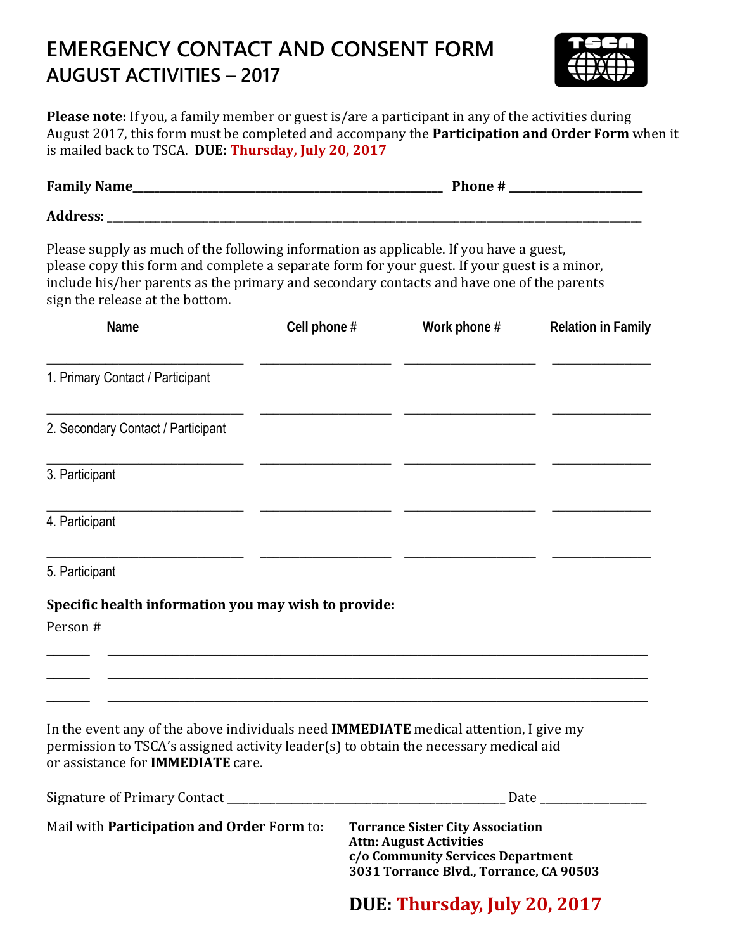## **EMERGENCY CONTACT AND CONSENT FORM AUGUST ACTIVITIES – 2017**



Please note: If you, a family member or guest is/are a participant in any of the activities during August 2017, this form must be completed and accompany the **Participation and Order Form** when it is mailed back to TSCA. **DUE: Thursday, July 20, 2017**

| Please supply as much of the following information as applicable. If you have a guest,<br>please copy this form and complete a separate form for your guest. If your guest is a minor,<br>include his/her parents as the primary and secondary contacts and have one of the parents<br>sign the release at the bottom. |              |              |                           |
|------------------------------------------------------------------------------------------------------------------------------------------------------------------------------------------------------------------------------------------------------------------------------------------------------------------------|--------------|--------------|---------------------------|
| Name                                                                                                                                                                                                                                                                                                                   | Cell phone # | Work phone # | <b>Relation in Family</b> |
| 1. Primary Contact / Participant                                                                                                                                                                                                                                                                                       |              |              |                           |
| 2. Secondary Contact / Participant                                                                                                                                                                                                                                                                                     |              |              |                           |
| 3. Participant                                                                                                                                                                                                                                                                                                         |              |              |                           |
| 4. Participant                                                                                                                                                                                                                                                                                                         |              |              |                           |
| 5. Participant                                                                                                                                                                                                                                                                                                         |              |              |                           |
| Specific health information you may wish to provide:                                                                                                                                                                                                                                                                   |              |              |                           |
| Person #                                                                                                                                                                                                                                                                                                               |              |              |                           |
|                                                                                                                                                                                                                                                                                                                        |              |              |                           |
| In the event any of the above individuals need IMMEDIATE medical attention, I give my<br>permission to TSCA's assigned activity leader(s) to obtain the necessary medical aid<br>or assistance for <b>IMMEDIATE</b> care.                                                                                              |              |              |                           |
|                                                                                                                                                                                                                                                                                                                        |              |              |                           |

| Mail with <b>Participation and Order Form</b> to: | <b>Torrance Sister City Association</b> |
|---------------------------------------------------|-----------------------------------------|
|                                                   | <b>Attn: August Activities</b>          |
|                                                   | c/o Community Services Department       |
|                                                   | 3031 Torrance Blvd., Torrance, CA 90503 |

 **DUE: Thursday, July 20, 2017**